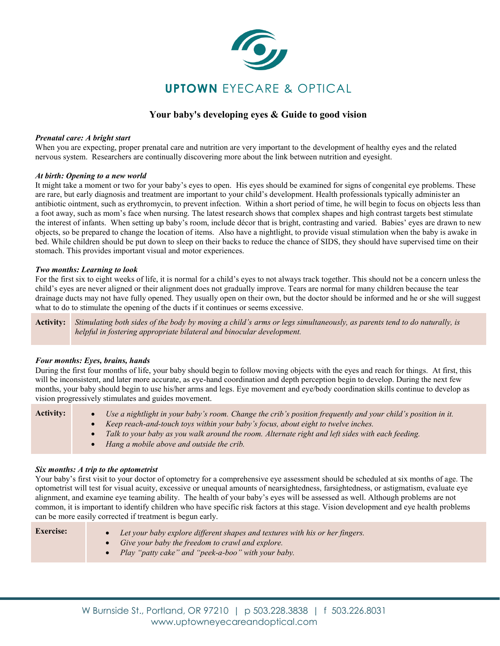

# **Your baby's developing eyes & Guide to good vision**

#### *Prenatal care: A bright start*

**When you are expecting, proper prenatal care and nutrition are very important to the development of healthy eyes and the related nervous system. Researchers are continually discovering more about the link between nutrition and eyesight.**

#### *At birth: Opening to a new world*

**It might take a moment or two for your baby's eyes to open. His eyes should be examined for signs of congenital eye problems. These are rare, but early diagnosis and treatment are important to your child's development. Health professionals typically administer an antibiotic ointment, such as erythromycin, to prevent infection. Within a short period of time, he will begin to focus on objects less than a foot away, such as mom's face when nursing. The latest research shows that complex shapes and high contrast targets best stimulate the interest of infants. When setting up baby's room, include décor that is bright, contrasting and varied. Babies' eyes are drawn to new objects, so be prepared to change the location of items. Also have a nightlight, to provide visual stimulation when the baby is awake in bed. While children should be put down to sleep on their backs to reduce the chance of SIDS, they should have supervised time on their stomach. This provides important visual and motor experiences.**

#### *Two months: Learning to look*

**For the first six to eight weeks of life, it is normal for a child's eyes to not always track together. This should not be a concern unless the child's eyes are never aligned or their alignment does not gradually improve. Tears are normal for many children because the tear drainage ducts may not have fully opened. They usually open on their own, but the doctor should be informed and he or she will suggest what to do to stimulate the opening of the ducts if it continues or seems excessive.**

**Activity:** *Stimulating both sides of the body by moving a child's arms or legs simultaneously, as parents tend to do naturally, is helpful in fostering appropriate bilateral and binocular development.*

### *Four months: Eyes, brains, hands*

**During the first four months of life, your baby should begin to follow moving objects with the eyes and reach for things. At first, this will be inconsistent, and later more accurate, as eye-hand coordination and depth perception begin to develop. During the next few months, your baby should begin to use his/her arms and legs. Eye movement and eye/body coordination skills continue to develop as vision progressively stimulates and guides movement.**

| <b>Activity:</b> | Use a nightlight in your baby's room. Change the crib's position frequently and your child's position in it. |
|------------------|--------------------------------------------------------------------------------------------------------------|
|                  | Keep reach-and-touch toys within your baby's focus, about eight to twelve inches.                            |
|                  | Talk to your baby as you walk around the room. Alternate right and left sides with each feeding.             |
|                  | Hang a mobile above and outside the crib.                                                                    |
|                  |                                                                                                              |

#### *Six months: A trip to the optometrist*

**Your baby's first visit to your doctor of optometry for a comprehensive eye assessment should be scheduled at six months of age. The optometrist will test for visual acuity, excessive or unequal amounts of nearsightedness, farsightedness, or astigmatism, evaluate eye alignment, and examine eye teaming ability. The health of your baby's eyes will be assessed as well. Although problems are not common, it is important to identify children who have specific risk factors at this stage. Vision development and eye health problems can be more easily corrected if treatment is begun early.**

| <b>Exercise:</b> | • Let your baby explore different shapes and textures with his or her fingers. |
|------------------|--------------------------------------------------------------------------------|
|                  | • Give your baby the freedom to crawl and explore.                             |
|                  | • Play "patty cake" and "peek-a-boo" with your baby.                           |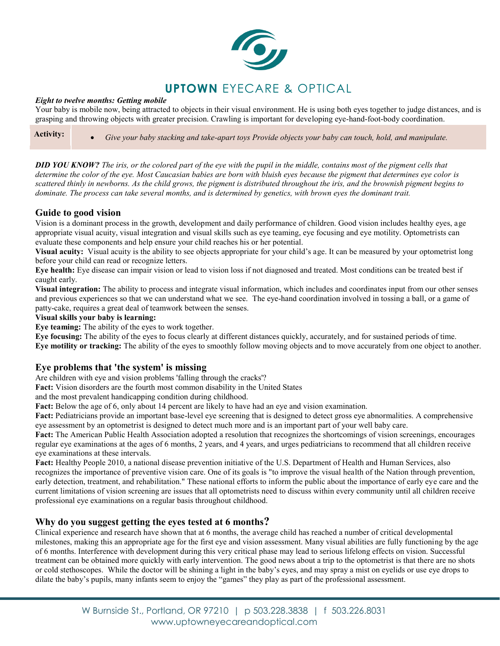

### *Eight to twelve months: Getting mobile*

**Your baby is mobile now, being attracted to objects in their visual environment. He is using both eyes together to judge distances, and is grasping and throwing objects with greater precision. Crawling is important for developing eye-hand-foot-body coordination.**

**Activity:** • *Give your baby stacking and take-apart toys Provide objects your baby can touch, hold, and manipulate.*

*DID YOU KNOW? The iris, or the colored part of the eye with the pupil in the middle, contains most of the pigment cells that determine the color of the eye. Most Caucasian babies are born with bluish eyes because the pigment that determines eye color is scattered thinly in newborns. As the child grows, the pigment is distributed throughout the iris, and the brownish pigment begins to dominate. The process can take several months, and is determined by genetics, with brown eyes the dominant trait.*

# **Guide to good vision**

**Vision is a dominant process in the growth, development and daily performance of children. Good vision includes healthy eyes, age appropriate visual acuity, visual integration and visual skills such as eye teaming, eye focusing and eye motility. Optometrists can evaluate these components and help ensure your child reaches his or her potential.**

**Visual acuity: Visual acuity is the ability to see objects appropriate for your child's age. It can be measured by your optometrist long before your child can read or recognize letters.**

**Eye health: Eye disease can impair vision or lead to vision loss if not diagnosed and treated. Most conditions can be treated best if caught early.**

**Visual integration: The ability to process and integrate visual information, which includes and coordinates input from our other senses and previous experiences so that we can understand what we see. The eye-hand coordination involved in tossing a ball, or a game of patty-cake, requires a great deal of teamwork between the senses.**

#### **Visual skills your baby is learning:**

**Eye teaming: The ability of the eyes to work together.**

**Eye focusing: The ability of the eyes to focus clearly at different distances quickly, accurately, and for sustained periods of time. Eye motility or tracking: The ability of the eyes to smoothly follow moving objects and to move accurately from one object to another.**

# **Eye problems that 'the system' is missing**

**Are children with eye and vision problems 'falling through the cracks'?** 

**Fact: Vision disorders are the fourth most common disability in the United States** 

**and the most prevalent handicapping condition during childhood.** 

**Fact: Below the age of 6, only about 14 percent are likely to have had an eye and vision examination.** 

**Fact: Pediatricians provide an important base-level eye screening that is designed to detect gross eye abnormalities. A comprehensive eye assessment by an optometrist is designed to detect much more and is an important part of your well baby care.** 

**Fact: The American Public Health Association adopted a resolution that recognizes the shortcomings of vision screenings, encourages regular eye examinations at the ages of 6 months, 2 years, and 4 years, and urges pediatricians to recommend that all children receive eye examinations at these intervals.** 

**Fact: Healthy People 2010, a national disease prevention initiative of the U.S. Department of Health and Human Services, also recognizes the importance of preventive vision care. One of its goals is "to improve the visual health of the Nation through prevention, early detection, treatment, and rehabilitation." These national efforts to inform the public about the importance of early eye care and the current limitations of vision screening are issues that all optometrists need to discuss within every community until all children receive professional eye examinations on a regular basis throughout childhood.**

# **Why do you suggest getting the eyes tested at 6 months?**

**Clinical experience and research have shown that at 6 months, the average child has reached a number of critical developmental milestones, making this an appropriate age for the first eye and vision assessment. Many visual abilities are fully functioning by the age of 6 months. Interference with development during this very critical phase may lead to serious lifelong effects on vision. Successful treatment can be obtained more quickly with early intervention. The good news about a trip to the optometrist is that there are no shots or cold stethoscopes. While the doctor will be shining a light in the baby's eyes, and may spray a mist on eyelids or use eye drops to dilate the baby's pupils, many infants seem to enjoy the "games" they play as part of the professional assessment.**